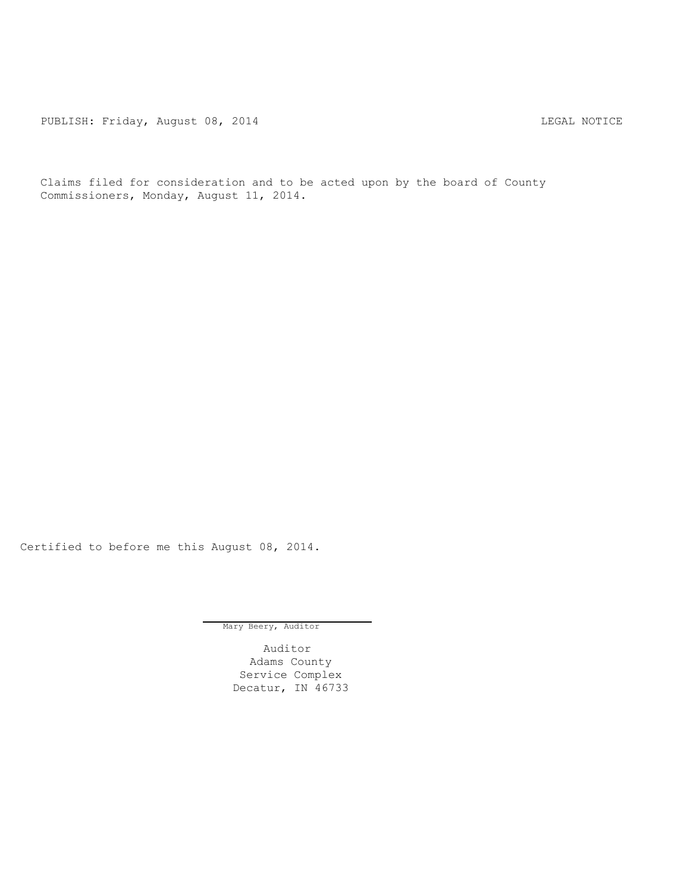PUBLISH: Friday, August 08, 2014 CHARL STAR STAR MOTICE

Claims filed for consideration and to be acted upon by the board of County Commissioners, Monday, August 11, 2014.

Certified to before me this August 08, 2014.

Mary Beery, Auditor

Auditor Adams County Service Complex Decatur, IN 46733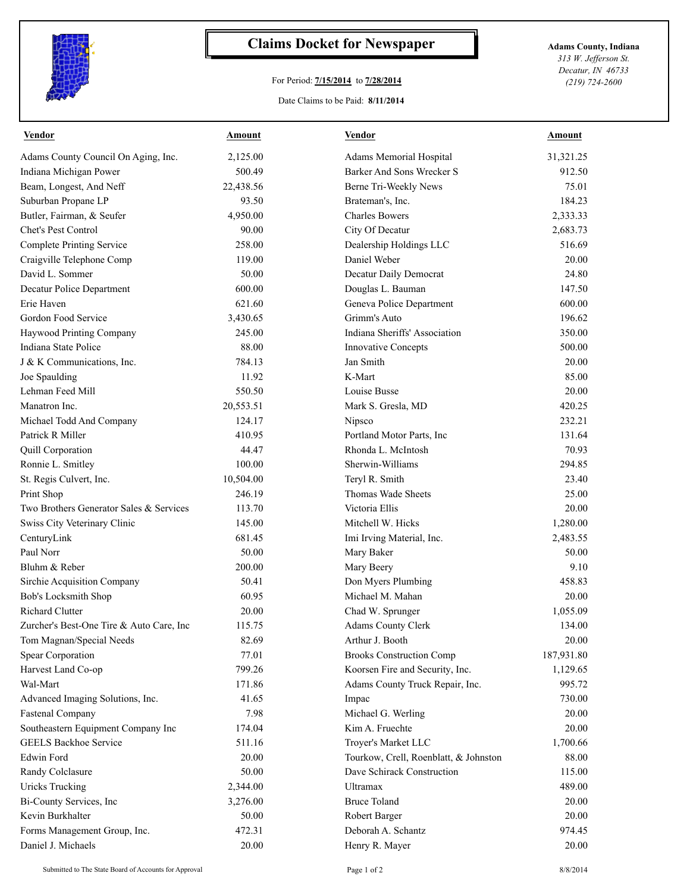

## **Claims Docket for Newspaper Adams County, Indiana**

## For Period: **7/15/2014** to **7/28/2014**

*313 W. Jefferson St. Decatur, IN 46733 (219) 724-2600*

## Date Claims to be Paid: **8/11/2014**

| Vendor                                   | Amount    | Vendor                                | Amount     |
|------------------------------------------|-----------|---------------------------------------|------------|
| Adams County Council On Aging, Inc.      | 2,125.00  | Adams Memorial Hospital               | 31,321.25  |
| Indiana Michigan Power                   | 500.49    | Barker And Sons Wrecker S             | 912.50     |
| Beam, Longest, And Neff                  | 22,438.56 | Berne Tri-Weekly News                 | 75.01      |
| Suburban Propane LP                      | 93.50     | Brateman's, Inc.                      | 184.23     |
| Butler, Fairman, & Seufer                | 4,950.00  | <b>Charles Bowers</b>                 | 2,333.33   |
| Chet's Pest Control                      | 90.00     | City Of Decatur                       | 2,683.73   |
| <b>Complete Printing Service</b>         | 258.00    | Dealership Holdings LLC               | 516.69     |
| Craigville Telephone Comp                | 119.00    | Daniel Weber                          | 20.00      |
| David L. Sommer                          | 50.00     | Decatur Daily Democrat                | 24.80      |
| Decatur Police Department                | 600.00    | Douglas L. Bauman                     | 147.50     |
| Erie Haven                               | 621.60    | Geneva Police Department              | 600.00     |
| Gordon Food Service                      | 3,430.65  | Grimm's Auto                          | 196.62     |
| Haywood Printing Company                 | 245.00    | Indiana Sheriffs' Association         | 350.00     |
| Indiana State Police                     | 88.00     | <b>Innovative Concepts</b>            | 500.00     |
| J & K Communications, Inc.               | 784.13    | Jan Smith                             | 20.00      |
| Joe Spaulding                            | 11.92     | K-Mart                                | 85.00      |
| Lehman Feed Mill                         | 550.50    | Louise Busse                          | 20.00      |
| Manatron Inc.                            | 20,553.51 | Mark S. Gresla, MD                    | 420.25     |
| Michael Todd And Company                 | 124.17    | Nipsco                                | 232.21     |
| Patrick R Miller                         | 410.95    | Portland Motor Parts, Inc             | 131.64     |
| Quill Corporation                        | 44.47     | Rhonda L. McIntosh                    | 70.93      |
| Ronnie L. Smitley                        | 100.00    | Sherwin-Williams                      | 294.85     |
| St. Regis Culvert, Inc.                  | 10,504.00 | Teryl R. Smith                        | 23.40      |
| Print Shop                               | 246.19    | Thomas Wade Sheets                    | 25.00      |
| Two Brothers Generator Sales & Services  | 113.70    | Victoria Ellis                        | 20.00      |
| Swiss City Veterinary Clinic             | 145.00    | Mitchell W. Hicks                     | 1,280.00   |
| CenturyLink                              | 681.45    | Imi Irving Material, Inc.             | 2,483.55   |
| Paul Norr                                | 50.00     | Mary Baker                            | 50.00      |
| Bluhm & Reber                            | 200.00    | Mary Beery                            | 9.10       |
| Sirchie Acquisition Company              | 50.41     | Don Myers Plumbing                    | 458.83     |
| Bob's Locksmith Shop                     | 60.95     | Michael M. Mahan                      | 20.00      |
| Richard Clutter                          | 20.00     | Chad W. Sprunger                      | 1,055.09   |
| Zurcher's Best-One Tire & Auto Care, Inc | 115.75    | <b>Adams County Clerk</b>             | 134.00     |
| Tom Magnan/Special Needs                 | 82.69     | Arthur J. Booth                       | 20.00      |
| <b>Spear Corporation</b>                 | 77.01     | <b>Brooks Construction Comp</b>       | 187,931.80 |
| Harvest Land Co-op                       | 799.26    | Koorsen Fire and Security, Inc.       | 1,129.65   |
| Wal-Mart                                 | 171.86    | Adams County Truck Repair, Inc.       | 995.72     |
| Advanced Imaging Solutions, Inc.         | 41.65     | Impac                                 | 730.00     |
| <b>Fastenal Company</b>                  | 7.98      | Michael G. Werling                    | 20.00      |
| Southeastern Equipment Company Inc       | 174.04    | Kim A. Fruechte                       | 20.00      |
| <b>GEELS Backhoe Service</b>             | 511.16    | Troyer's Market LLC                   | 1,700.66   |
| <b>Edwin Ford</b>                        | 20.00     | Tourkow, Crell, Roenblatt, & Johnston | 88.00      |
| Randy Colclasure                         | 50.00     | Dave Schirack Construction            | 115.00     |
| <b>Uricks Trucking</b>                   | 2,344.00  | <b>Ultramax</b>                       | 489.00     |
| Bi-County Services, Inc                  | 3,276.00  | <b>Bruce Toland</b>                   | 20.00      |
| Kevin Burkhalter                         | 50.00     | Robert Barger                         | 20.00      |
| Forms Management Group, Inc.             | 472.31    | Deborah A. Schantz                    | 974.45     |
| Daniel J. Michaels                       | 20.00     | Henry R. Mayer                        | 20.00      |